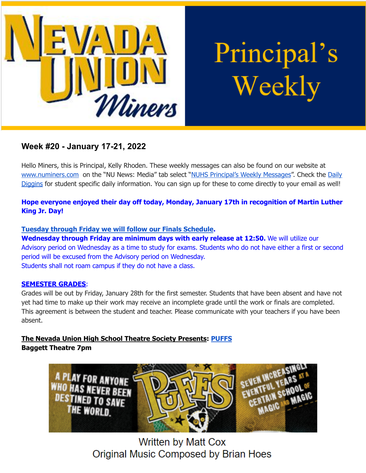

Principal's Weekly

# **Week #20 - January 17-21, 2022**

Hello Miners, this is Principal, Kelly Rhoden. These weekly messages can also be found on our website at [www.numiners.com](http://www.numiners.com) on the "NU News: Media" tab select "NUHS [Principal's](https://nevadaunion.njuhsd.com/NU-NewsMedia/NUHS-Principals-Weekly-Messages/index.html) Weekly Messages". Check the [Daily](https://nevadaunion.njuhsd.com/NU-NewsMedia/Daily-Diggins-Bulletin/index.html) [Diggins](https://nevadaunion.njuhsd.com/NU-NewsMedia/Daily-Diggins-Bulletin/index.html) for student specific daily information. You can sign up for these to come directly to your email as well!

# **Hope everyone enjoyed their day off today, Monday, January 17th in recognition of Martin Luther King Jr. Day!**

## **Tuesday through Friday we will follow our Finals [Schedule](https://nevadaunion.njuhsd.com/documents/Bell%20Schedules/Finals-Fall-2021-22.pdf).**

**Wednesday through Friday are minimum days with early release at 12:50.** We will utilize our Advisory period on Wednesday as a time to study for exams. Students who do not have either a first or second period will be excused from the Advisory period on Wednesday. Students shall not roam campus if they do not have a class.

### **SEMESTER GRADES**:

Grades will be out by Friday, January 28th for the first semester. Students that have been absent and have not yet had time to make up their work may receive an incomplete grade until the work or finals are completed. This agreement is between the student and teacher. Please communicate with your teachers if you have been absent.

# **The Nevada Union High School Theatre Society Presents: [PUFFS](https://docs.google.com/document/d/1uCIHiN0szMwd_lwGU4MnQfnm1Ql4qVr8wO-G1GS7IA8/edit?usp=sharing) Baggett Theatre 7pm**



**Written by Matt Cox** Original Music Composed by Brian Hoes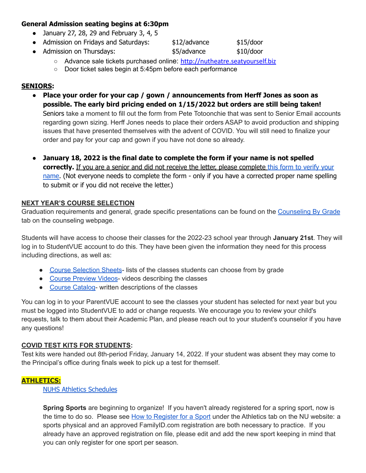### **General Admission seating begins at 6:30pm**

- $\bullet$  January 27, 28, 29 and February 3, 4, 5
- Admission on Fridays and Saturdays:  $$12/$ advance  $$15/$ door
- Admission on Thursdays: <br>● Admission on Thursdays: <br>● \$5/advance \$10/door

○ Advance sale tickets purchased online: [http://nutheatre.seatyourself.biz](http://nutheatre.seatyourself.biz/)

○ Door ticket sales begin at 5:45pm before each performance

#### **SENIORS:**

● **Place your order for your cap / gown / announcements from Herff Jones as soon as possible. The early bird pricing ended on 1/15/2022 but orders are still being taken!**

Seniors take a moment to fill out the form from Pete Totoonchie that was sent to Senior Email accounts regarding gown sizing. Herff Jones needs to place their orders ASAP to avoid production and shipping issues that have presented themselves with the advent of COVID. You will still need to finalize your order and pay for your cap and gown if you have not done so already.

● **January 18, 2022 is the final date to complete the form if your name is not spelled correctly.** If you are a senior and did not receive the letter, please complete this form to [verify](https://forms.gle/AYB9nvAKC2M2NdaS8) your [name.](https://forms.gle/AYB9nvAKC2M2NdaS8) (Not everyone needs to complete the form - only if you have a corrected proper name spelling to submit or if you did not receive the letter.)

#### **NEXT YEAR'S COURSE SELECTION**

Graduation requirements and general, grade specific presentations can be found on the [Counseling](https://sites.google.com/njuhsd.com/nucounseling/counseling-by-grade?authuser=0) By Grade tab on the counseling webpage.

Students will have access to choose their classes for the 2022-23 school year through **January 21st**. They will log in to StudentVUE account to do this. They have been given the information they need for this process including directions, as well as:

- Course [Selection](https://sites.google.com/njuhsd.com/nucounseling/scheduling#h.7logcnn3wtna) Sheets- lists of the classes students can choose from by grade
- Course [Preview](https://sites.google.com/njuhsd.com/nucounseling/scheduling#h.582iehsguq46) Videos- videos describing the classes
- Course [Catalog-](https://drive.google.com/file/d/14URfyLXA8Sl8XsHcJVD1ZZZQDSmx-ayl/view) written descriptions of the classes

You can log in to your ParentVUE account to see the classes your student has selected for next year but you must be logged into StudentVUE to add or change requests. We encourage you to review your child's requests, talk to them about their Academic Plan, and please reach out to your student's counselor if you have any questions!

#### **COVID TEST KITS FOR STUDENTS:**

Test kits were handed out 8th-period Friday, January 14, 2022. If your student was absent they may come to the Principal's office during finals week to pick up a test for themself.

### **ATHLETICS:**

NUHS Athletics [Schedules](https://nevadaunion.njuhsd.com/Athletics/Sports-Calendar--Schedules/index.html)

**Spring Sports** are beginning to organize! If you haven't already registered for a spring sport, now is the time to do so. Please see How to [Register](https://nevadaunion.njuhsd.com/Athletics/How-to-Register-For-a-Sport/index.html) for a Sport under the Athletics tab on the NU website: a sports physical and an approved FamilyID.com registration are both necessary to practice. If you already have an approved registration on file, please edit and add the new sport keeping in mind that you can only register for one sport per season.